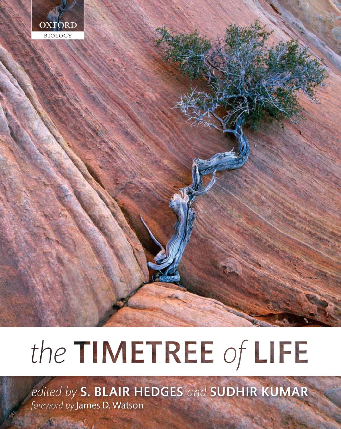

# the TIMETREE of LIFE

edited by S. BLAIR HEDGES and SUDHIR KUMAR foreword by James D. Watson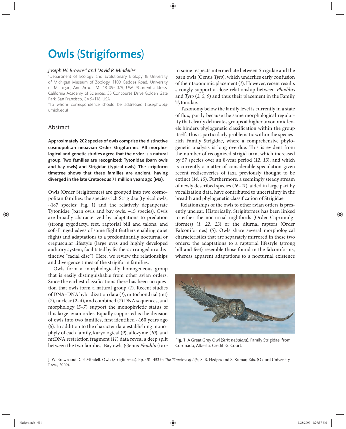# Owls (Strigiformes)

## *Joseph W. Brown*a,*\* and David P. Mindell*a,b

a Department of Ecology and Evolutionary Biology & University of Michigan Museum of Zoology, 1109 Geddes Road, University of Michigan, Ann Arbor, MI 48109-1079, USA; <sup>b</sup>Current address: California Academy of Sciences, 55 Concourse Drive Golden Gate Park, San Francisco, CA 94118, USA

\*To whom correspondence should be addressed (josephwb@ umich.edu)

# Abstract

Approximately 202 species of owls comprise the distinctive cosmopolitan neoavian Order Strigiformes. All morphological and genetic studies agree that the order is a natural group. Two families are recognized: Tytonidae (barn owls and bay owls) and Strigidae (typical owls). The strigiform timetree shows that these families are ancient, having diverged in the late Cretaceous 71 million years ago (Ma).

Owls (Order Strigiformes) are grouped into two cosmopolitan families: the species-rich Strigidae (typical owls, ~187 species; Fig. 1) and the relatively depauperate Tytonidae (barn owls and bay owls, ~15 species). Owls are broadly characterized by adaptations to predation (strong zygodactyl feet, raptorial bill and talons, and soft-fringed edges of some flight feathers enabling quiet flight) and adaptations to a predominantly nocturnal or crepuscular lifestyle (large eyes and highly developed auditory system, facilitated by feathers arranged in a distinctive "facial disc"). Here, we review the relationships and divergence times of the strigiform families.

Owls form a morphologically homogeneous group that is easily distinguishable from other avian orders. Since the earliest classifications there has been no question that owls form a natural group (*1*). Recent studies of DNA–DNA hybridization data (*1*), mitochondrial (mt) (*2*), nuclear (*2–4*), and combined (*2*) DNA sequences, and morphology (*5–7*) support the monophyletic status of this large avian order. Equally supported is the division of owls into two families, first identified  $~160$  years ago (*8*). In addition to the character data establishing monophyly of each family, karyological (*9*), allozyme (*10*), and mtDNA restriction fragment (*11*) data reveal a deep split between the two families. Bay owls (Genus *Phodilus*) are

in some respects intermediate between Strigidae and the barn owls (Genus *Tyto*), which underlies early confusion of their taxonomic placement (*1*). However, recent results strongly support a close relationship between *Phodilus* and *Tyto* (*2, 5, 9*) and thus their placement in the Family Tytonidae.

Taxonomy below the family level is currently in a state of flux, partly because the same morphological regularity that clearly delineates groups at higher taxonomic levels hinders phylogenetic classification within the group itself. This is particularly problematic within the speciesrich Family Strigidae, where a comprehensive phylogenetic analysis is long overdue. This is evident from the number of recognized strigid taxa, which increased by 57 species over an 8-year period (*12, 13*), and which is currently a matter of considerable speculation given recent rediscoveries of taxa previously thought to be extinct (*14, 15*). Furthermore, a seemingly steady stream of newly described species (*16–21*), aided in large part by vocalization data, have contributed to uncertainty in the breadth and phylogenetic classification of Strigidae.

Relationships of the owls to other avian orders is presently unclear. Historically, Strigiformes has been linked to either the nocturnal nightbirds (Order Caprimulgiformes) (1, 22, 23) or the diurnal raptors (Order Falconiformes) (*5*). Owls share several morphological characteristics that are separately mirrored in these two orders: the adaptations to a raptorial lifestyle (strong bill and feet) resemble those found in the falconiforms, whereas apparent adaptations to a nocturnal existence



Fig. 1 A Great Grey Owl (*Strix nebulosa*), Family Strigidae, from Coronado, Alberta. Credit: G. Court.

J. W. Brown and D. P. Mindell. Owls (Strigiformes). Pp. 451-453 in *The Timetree of Life*, S. B. Hedges and S. Kumar, Eds. (Oxford University Press, 2009).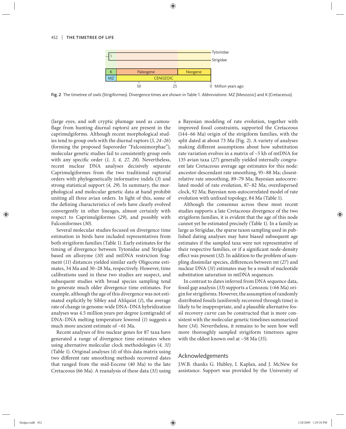#### 452 | THE TIMETREE OF LIFE



Fig. 2 The timetree of owls (Strigiformes). Divergence times are shown in Table 1. *Abbreviations*: MZ (Mesozoic) and K (Cretaceous).

(large eyes, and soft cryptic plumage used as camouflage from hunting diurnal raptors) are present in the caprimulgiforms. Although recent morphological studies tend to group owls with the diurnal raptors (*5, 24–26*) (forming the proposed Superorder "Falconimorphae"), molecular genetic studies fail to consistently group owls with any specific order (1, 3, 4, 27, 28). Nevertheless, recent nuclear DNA analyses decisively separate Caprimulgiformes from the two traditional raptorial orders with phylogenetically informative indels (*3*) and strong statistical support (*4, 29*). In summary, the morphological and molecular genetic data at hand prohibit uniting all three avian orders. In light of this, some of the defining characteristics of owls have clearly evolved convergently in other lineages, almost certainly with respect to Caprimulgiformes (*29*), and possibly with Falconiformes (*30*).

Several molecular studies focused on divergence time estimation in birds have included representatives from both strigiform families (Table 1). Early estimates for the timing of divergence between Tytonidae and Strigidae based on allozyme (*10*) and mtDNA restriction fragment (*11*) distances yielded similar early Oligocene estimates, 34 Ma and 30–28 Ma, respectively. However, time calibrations used in these two studies are suspect, and subsequent studies with broad species sampling tend to generate much older divergence time estimates. For example, although the age of this divergence was not estimated explicitly by Sibley and Ahlquist (*1*), the average rate of change in genome-wide DNA–DNA hybridization analyses was 4.5 million years per degree (centigrade) of DNA–DNA melting temperature lowered (*1*) suggests a much more ancient estimate of ~61 Ma.

Recent analyses of five nuclear genes for 87 taxa have generated a range of divergence time estimates when using alternative molecular clock methodologies (*4, 31*) (Table 1). Original analyses (*4*) of this data matrix using two different rate smoothing methods recovered dates that ranged from the mid-Eocene (40 Ma) to the late Cretaceous (66 Ma). A reanalysis of these data (*31*) using a Bayesian modeling of rate evolution, together with improved fossil constraints, supported the Cretaceous (144–66 Ma) origin of the strigiform families, with the split dated at about 73 Ma (Fig. 2). A variety of analyses making different assumptions about how substitution rate variation evolves in a matrix of ~5 kb of mtDNA for 135 avian taxa (*27*) generally yielded internally congruent late Cretaceous average age estimates for this node: ancestor-descendant rate smoothing, 95–88 Ma; closestrelative rate smoothing, 89–79 Ma; Bayesian autocorrelated model of rate evolution, 87–82 Ma; overdispersed clock, 92 Ma; Bayesian non-autocorrelated model of rate evolution with unfixed topology, 84 Ma (Table 1).

Although the consensus across these most recent studies supports a late Cretaceous divergence of the two strigiform families, it is evident that the age of this node cannot yet be estimated precisely (Table 1). In a family as large as Strigidae, the sparse taxon sampling used in published dating analyses may have biased subsequent age estimates if the sampled taxa were not representative of their respective families, or if a significant node-density effect was present (32). In addition to the problem of sampling dissimilar species, differences between mt (27) and nuclear DNA (*31*) estimates may be a result of nucleotide substitution saturation in mtDNA sequences.

In contrast to dates inferred from DNA sequence data, fossil gap analysis (*33*) supports a Cenozoic (<66 Ma) origin for strigiforms. However, the assumption of randomly distributed fossils (uniformly recovered through time) is likely to be inappropriate, and a plausible alternative fossil recovery curve can be constructed that is more consistent with the molecular genetic timelines summarized here (*34*). Nevertheless, it remains to be seen how well more thoroughly sampled strigiform timetrees agree with the oldest known owl at ~58 Ma (*35*).

### Acknowledgements

J.W.B. thanks G. Hubley, I. Kaplan, and J. McNew for assistance. Support was provided by the University of